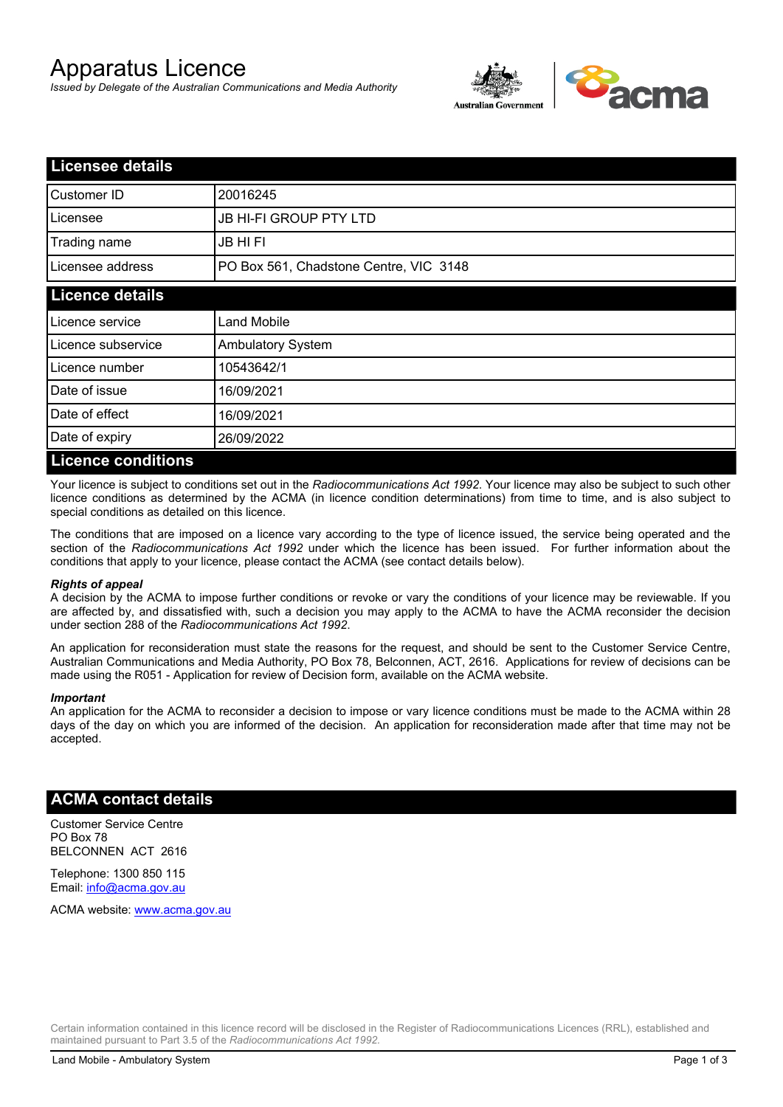# Apparatus Licence

*Issued by Delegate of the Australian Communications and Media Authority*



| <b>Licensee details</b>   |                                        |  |
|---------------------------|----------------------------------------|--|
| Customer ID               | 20016245                               |  |
| Licensee                  | <b>JB HI-FI GROUP PTY LTD</b>          |  |
| Trading name              | <b>JB HIFI</b>                         |  |
| Licensee address          | PO Box 561, Chadstone Centre, VIC 3148 |  |
| <b>Licence details</b>    |                                        |  |
| Licence service           | <b>Land Mobile</b>                     |  |
| Licence subservice        | Ambulatory System                      |  |
| Licence number            | 10543642/1                             |  |
| Date of issue             | 16/09/2021                             |  |
| Date of effect            | 16/09/2021                             |  |
| Date of expiry            | 26/09/2022                             |  |
| <b>Licence conditions</b> |                                        |  |

Your licence is subject to conditions set out in the *Radiocommunications Act 1992*. Your licence may also be subject to such other licence conditions as determined by the ACMA (in licence condition determinations) from time to time, and is also subject to special conditions as detailed on this licence.

The conditions that are imposed on a licence vary according to the type of licence issued, the service being operated and the section of the *Radiocommunications Act 1992* under which the licence has been issued. For further information about the conditions that apply to your licence, please contact the ACMA (see contact details below).

#### *Rights of appeal*

A decision by the ACMA to impose further conditions or revoke or vary the conditions of your licence may be reviewable. If you are affected by, and dissatisfied with, such a decision you may apply to the ACMA to have the ACMA reconsider the decision under section 288 of the *Radiocommunications Act 1992*.

An application for reconsideration must state the reasons for the request, and should be sent to the Customer Service Centre, Australian Communications and Media Authority, PO Box 78, Belconnen, ACT, 2616. Applications for review of decisions can be made using the R051 - Application for review of Decision form, available on the ACMA website.

#### *Important*

An application for the ACMA to reconsider a decision to impose or vary licence conditions must be made to the ACMA within 28 days of the day on which you are informed of the decision. An application for reconsideration made after that time may not be accepted.

### **ACMA contact details**

Customer Service Centre PO Box 78 BELCONNEN ACT 2616

Telephone: 1300 850 115 Email: info@acma.gov.au

ACMA website: www.acma.gov.au

Certain information contained in this licence record will be disclosed in the Register of Radiocommunications Licences (RRL), established and maintained pursuant to Part 3.5 of the *Radiocommunications Act 1992.*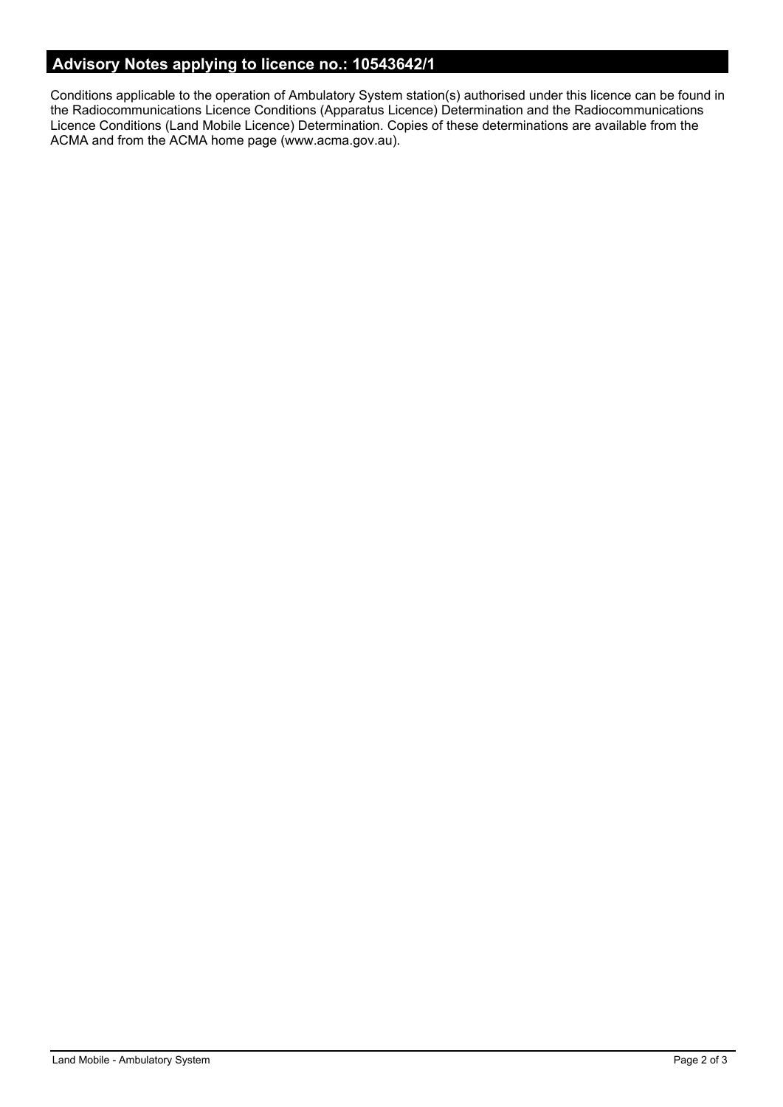# **Advisory Notes applying to licence no.: 10543642/1**

Conditions applicable to the operation of Ambulatory System station(s) authorised under this licence can be found in the Radiocommunications Licence Conditions (Apparatus Licence) Determination and the Radiocommunications Licence Conditions (Land Mobile Licence) Determination. Copies of these determinations are available from the ACMA and from the ACMA home page (www.acma.gov.au).